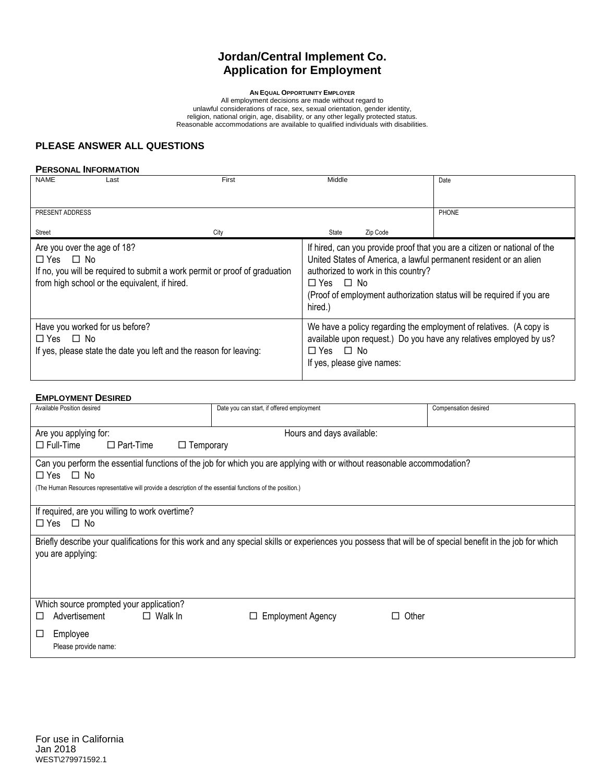# **Jordan/Central Implement Co. Application for Employment**

**AN EQUAL OPPORTUNITY EMPLOYER**

All employment decisions are made without regard to unlawful considerations of race, sex, sexual orientation, gender identity, religion, national origin, age, disability, or any other legally protected status. Reasonable accommodations are available to qualified individuals with disabilities.

# **PLEASE ANSWER ALL QUESTIONS**

#### **PERSONAL INFORMATION**

| <b>NAME</b>                                            | Last                                                                                                                        | First | Middle                                   |                                                                                                                                          | Date                                                                                                                                                                                                                    |
|--------------------------------------------------------|-----------------------------------------------------------------------------------------------------------------------------|-------|------------------------------------------|------------------------------------------------------------------------------------------------------------------------------------------|-------------------------------------------------------------------------------------------------------------------------------------------------------------------------------------------------------------------------|
| PRESENT ADDRESS                                        |                                                                                                                             |       |                                          |                                                                                                                                          | PHONE                                                                                                                                                                                                                   |
| <b>Street</b>                                          |                                                                                                                             | City  | State                                    | Zip Code                                                                                                                                 |                                                                                                                                                                                                                         |
| Are you over the age of 18?<br>$\Box$ Yes $\Box$ No    | If no, you will be required to submit a work permit or proof of graduation<br>from high school or the equivalent, if hired. |       | □ Yes □ No<br>hired.)                    | authorized to work in this country?                                                                                                      | If hired, can you provide proof that you are a citizen or national of the<br>United States of America, a lawful permanent resident or an alien<br>(Proof of employment authorization status will be required if you are |
| Have you worked for us before?<br>$\Box$ Yes $\Box$ No | If yes, please state the date you left and the reason for leaving:                                                          |       | □ Yes □ No<br>If yes, please give names: | We have a policy regarding the employment of relatives. (A copy is<br>available upon request.) Do you have any relatives employed by us? |                                                                                                                                                                                                                         |

#### **EMPLOYMENT DESIRED**

| Available Position desired                                                                                                                                                     | Date you can start, if offered employment | Compensation desired |  |  |  |  |  |  |
|--------------------------------------------------------------------------------------------------------------------------------------------------------------------------------|-------------------------------------------|----------------------|--|--|--|--|--|--|
| Are you applying for:                                                                                                                                                          | Hours and days available:                 |                      |  |  |  |  |  |  |
| $\Box$ Part-Time<br>$\square$ Full-Time                                                                                                                                        | $\Box$ Temporary                          |                      |  |  |  |  |  |  |
| Can you perform the essential functions of the job for which you are applying with or without reasonable accommodation?<br>$\Box$ Yes $\Box$ No                                |                                           |                      |  |  |  |  |  |  |
| (The Human Resources representative will provide a description of the essential functions of the position.)                                                                    |                                           |                      |  |  |  |  |  |  |
|                                                                                                                                                                                |                                           |                      |  |  |  |  |  |  |
| If required, are you willing to work overtime?                                                                                                                                 |                                           |                      |  |  |  |  |  |  |
| $\Box$ Yes $\Box$ No                                                                                                                                                           |                                           |                      |  |  |  |  |  |  |
| Briefly describe your qualifications for this work and any special skills or experiences you possess that will be of special benefit in the job for which<br>you are applying: |                                           |                      |  |  |  |  |  |  |
|                                                                                                                                                                                |                                           |                      |  |  |  |  |  |  |
|                                                                                                                                                                                |                                           |                      |  |  |  |  |  |  |
| Which source prompted your application?                                                                                                                                        |                                           |                      |  |  |  |  |  |  |
| $\Box$ Walk In<br>Advertisement<br>◻                                                                                                                                           | Employment Agency                         | Other                |  |  |  |  |  |  |
| Employee<br>ப                                                                                                                                                                  |                                           |                      |  |  |  |  |  |  |
| Please provide name:                                                                                                                                                           |                                           |                      |  |  |  |  |  |  |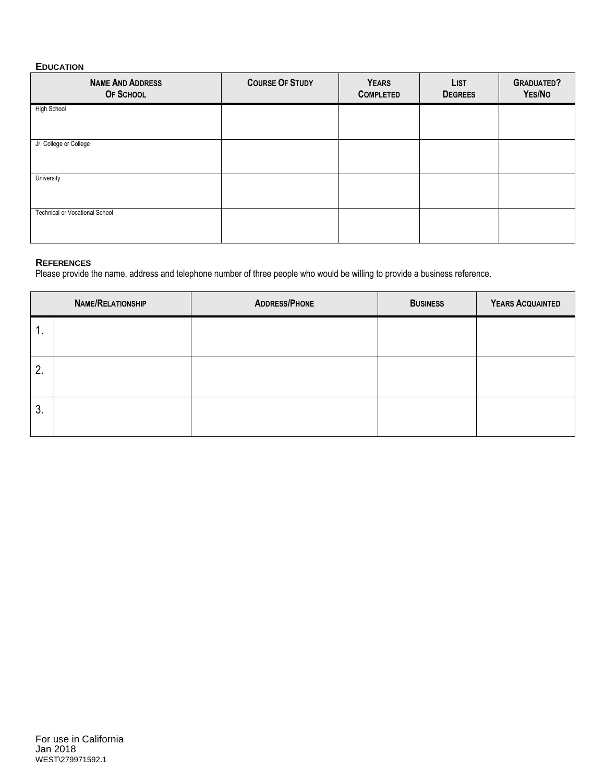# **EDUCATION**

| <b>NAME AND ADDRESS</b><br>OF SCHOOL | <b>COURSE OF STUDY</b> | <b>YEARS</b><br><b>COMPLETED</b> | <b>LIST</b><br><b>DEGREES</b> | <b>GRADUATED?</b><br>YES/NO |
|--------------------------------------|------------------------|----------------------------------|-------------------------------|-----------------------------|
| High School                          |                        |                                  |                               |                             |
| Jr. College or College               |                        |                                  |                               |                             |
| University                           |                        |                                  |                               |                             |
| Technical or Vocational School       |                        |                                  |                               |                             |

### **REFERENCES**

Please provide the name, address and telephone number of three people who would be willing to provide a business reference.

|    | <b>NAME/RELATIONSHIP</b> | <b>ADDRESS/PHONE</b> | <b>BUSINESS</b> | YEARS ACQUAINTED |
|----|--------------------------|----------------------|-----------------|------------------|
| 1. |                          |                      |                 |                  |
| 2. |                          |                      |                 |                  |
| 3. |                          |                      |                 |                  |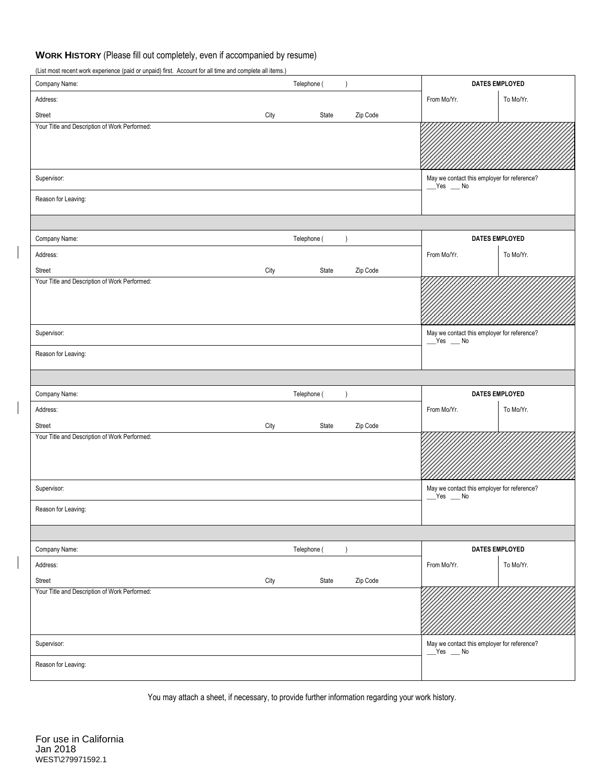# **WORK HISTORY** (Please fill out completely, even if accompanied by resume)

(List most recent work experience (paid or unpaid) first. Account for all time and complete all items.)

| Company Name:                                 |      | Telephone ( |           |          | <b>DATES EMPLOYED</b>                                   |                |
|-----------------------------------------------|------|-------------|-----------|----------|---------------------------------------------------------|----------------|
| Address:                                      |      |             |           |          | From Mo/Yr.                                             | To Mo/Yr.      |
| Street                                        | City | State       |           | Zip Code |                                                         |                |
| Your Title and Description of Work Performed: |      |             |           |          |                                                         |                |
| Supervisor:                                   |      |             |           |          | May we contact this employer for reference?<br>$Yes$ Mo |                |
| Reason for Leaving:                           |      |             |           |          |                                                         |                |
|                                               |      |             |           |          |                                                         |                |
| Company Name:                                 |      | Telephone ( | $\lambda$ |          | <b>DATES EMPLOYED</b>                                   |                |
| Address:                                      |      |             |           |          | From Mo/Yr.                                             | To Mo/Yr.      |
| Street                                        | City | State       |           | Zip Code |                                                         |                |
| Your Title and Description of Work Performed: |      |             |           |          |                                                         |                |
| Supervisor:                                   |      |             |           |          | May we contact this employer for reference?<br>$Yes$ Mo |                |
| Reason for Leaving:                           |      |             |           |          |                                                         |                |
|                                               |      |             |           |          |                                                         |                |
| Company Name:                                 |      | Telephone ( | $\lambda$ |          | <b>DATES EMPLOYED</b>                                   |                |
| Address:                                      |      |             |           |          | From Mo/Yr.                                             | To Mo/Yr.      |
| Street                                        | City | State       |           | Zip Code |                                                         |                |
| Your Title and Description of Work Performed: |      |             |           |          |                                                         |                |
| Supervisor:                                   |      |             |           |          | May we contact this employer for reference?<br>$Yes$ Mo |                |
| Reason for Leaving:                           |      |             |           |          |                                                         |                |
|                                               |      |             |           |          |                                                         |                |
| Company Name:                                 |      | Telephone ( | $\lambda$ |          |                                                         | DATES EMPLOYED |
| Address:                                      |      |             |           |          | From Mo/Yr.                                             | To Mo/Yr.      |
| Street                                        | City | State       |           | Zip Code |                                                         |                |
| Your Title and Description of Work Performed: |      |             |           |          |                                                         |                |
| Supervisor:                                   |      |             |           |          | May we contact this employer for reference?<br>$Yes$ Mo |                |
| Reason for Leaving:                           |      |             |           |          |                                                         |                |

You may attach a sheet, if necessary, to provide further information regarding your work history.